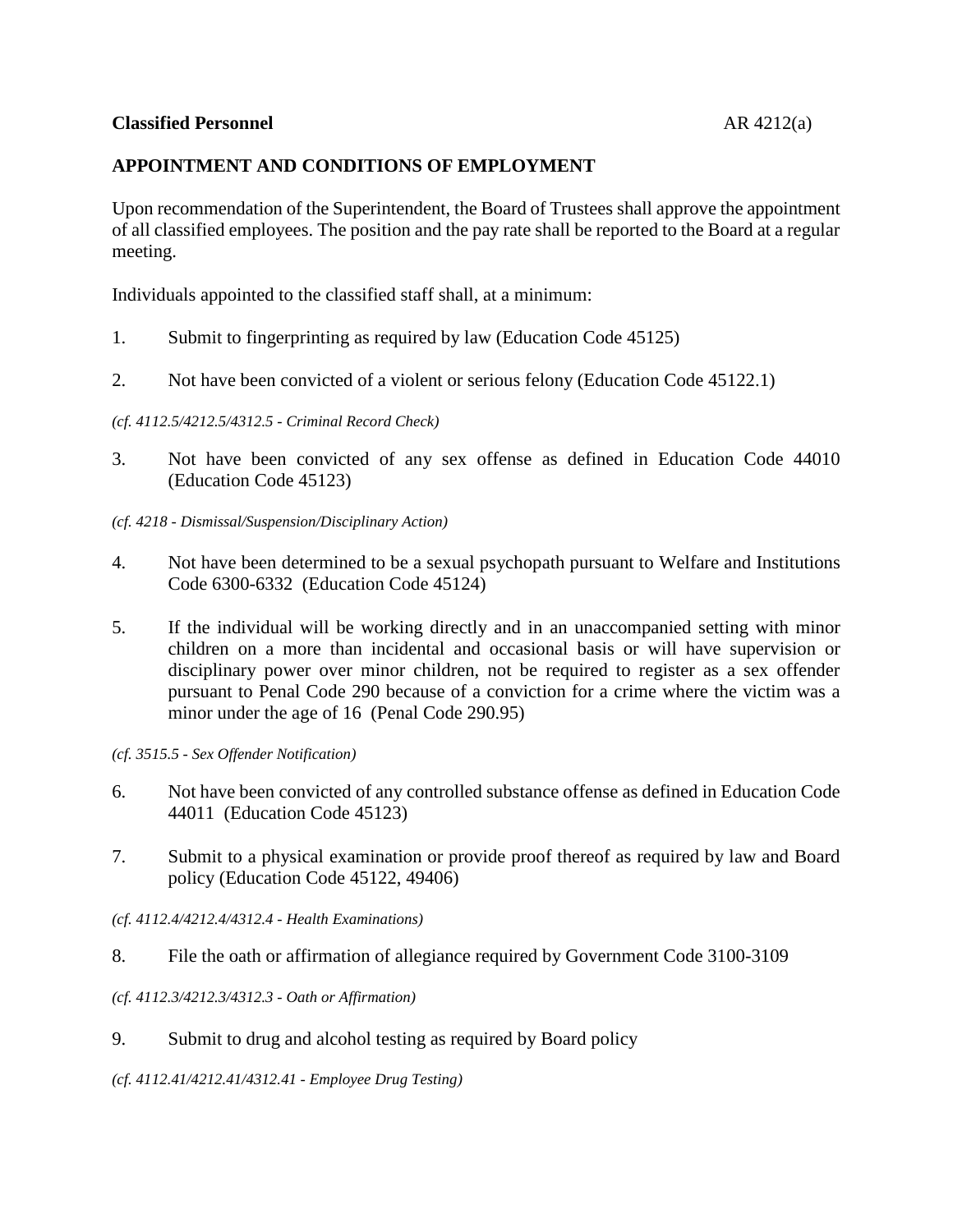## **APPOINTMENT AND CONDITIONS OF EMPLOYMENT**

Upon recommendation of the Superintendent, the Board of Trustees shall approve the appointment of all classified employees. The position and the pay rate shall be reported to the Board at a regular meeting.

Individuals appointed to the classified staff shall, at a minimum:

- 1. Submit to fingerprinting as required by law (Education Code 45125)
- 2. Not have been convicted of a violent or serious felony (Education Code 45122.1)

*(cf. 4112.5/4212.5/4312.5 - Criminal Record Check)*

- 3. Not have been convicted of any sex offense as defined in Education Code 44010 (Education Code 45123)
- *(cf. 4218 - Dismissal/Suspension/Disciplinary Action)*
- 4. Not have been determined to be a sexual psychopath pursuant to Welfare and Institutions Code 6300-6332 (Education Code 45124)
- 5. If the individual will be working directly and in an unaccompanied setting with minor children on a more than incidental and occasional basis or will have supervision or disciplinary power over minor children, not be required to register as a sex offender pursuant to Penal Code 290 because of a conviction for a crime where the victim was a minor under the age of 16 (Penal Code 290.95)

*(cf. 3515.5 - Sex Offender Notification)*

- 6. Not have been convicted of any controlled substance offense as defined in Education Code 44011 (Education Code 45123)
- 7. Submit to a physical examination or provide proof thereof as required by law and Board policy (Education Code 45122, 49406)
- *(cf. 4112.4/4212.4/4312.4 - Health Examinations)*
- 8. File the oath or affirmation of allegiance required by Government Code 3100-3109

## *(cf. 4112.3/4212.3/4312.3 - Oath or Affirmation)*

9. Submit to drug and alcohol testing as required by Board policy

*(cf. 4112.41/4212.41/4312.41 - Employee Drug Testing)*